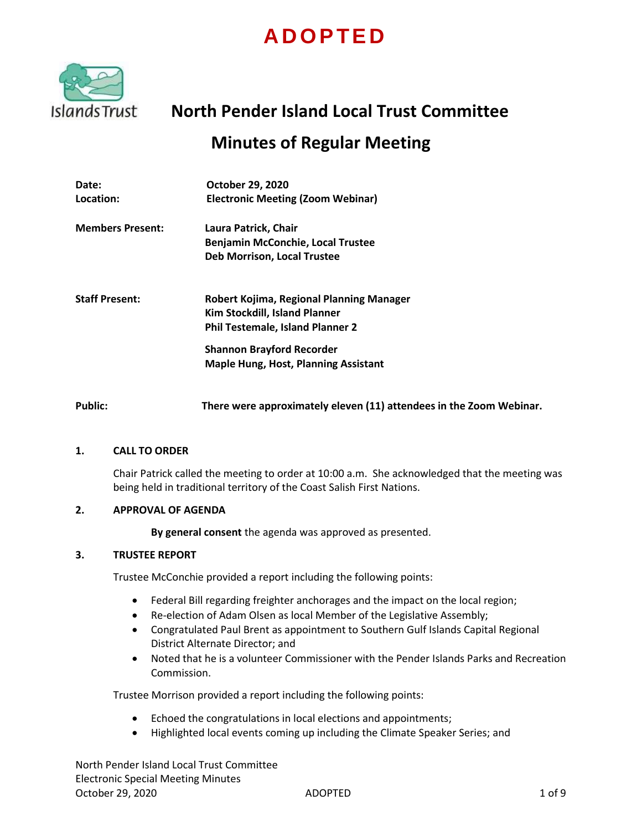# **A D O P T E D**



# **North Pender Island Local Trust Committee Minutes of Regular Meeting**

# **Date: Location: October 29, 2020 Electronic Meeting (Zoom Webinar) Members Present: Laura Patrick, Chair Benjamin McConchie, Local Trustee Deb Morrison, Local Trustee Staff Present: Robert Kojima, Regional Planning Manager Kim Stockdill, Island Planner Phil Testemale, Island Planner 2 Shannon Brayford Recorder Maple Hung, Host, Planning Assistant Public: There were approximately eleven (11) attendees in the Zoom Webinar.**

# **1. CALL TO ORDER**

Chair Patrick called the meeting to order at 10:00 a.m. She acknowledged that the meeting was being held in traditional territory of the Coast Salish First Nations.

# **2. APPROVAL OF AGENDA**

**By general consent** the agenda was approved as presented.

# **3. TRUSTEE REPORT**

Trustee McConchie provided a report including the following points:

- Federal Bill regarding freighter anchorages and the impact on the local region;
- Re-election of Adam Olsen as local Member of the Legislative Assembly;
- Congratulated Paul Brent as appointment to Southern Gulf Islands Capital Regional District Alternate Director; and
- Noted that he is a volunteer Commissioner with the Pender Islands Parks and Recreation Commission.

Trustee Morrison provided a report including the following points:

- Echoed the congratulations in local elections and appointments;
- Highlighted local events coming up including the Climate Speaker Series; and

North Pender Island Local Trust Committee Electronic Special Meeting Minutes October 29, 2020 ADOPTED 1 of 9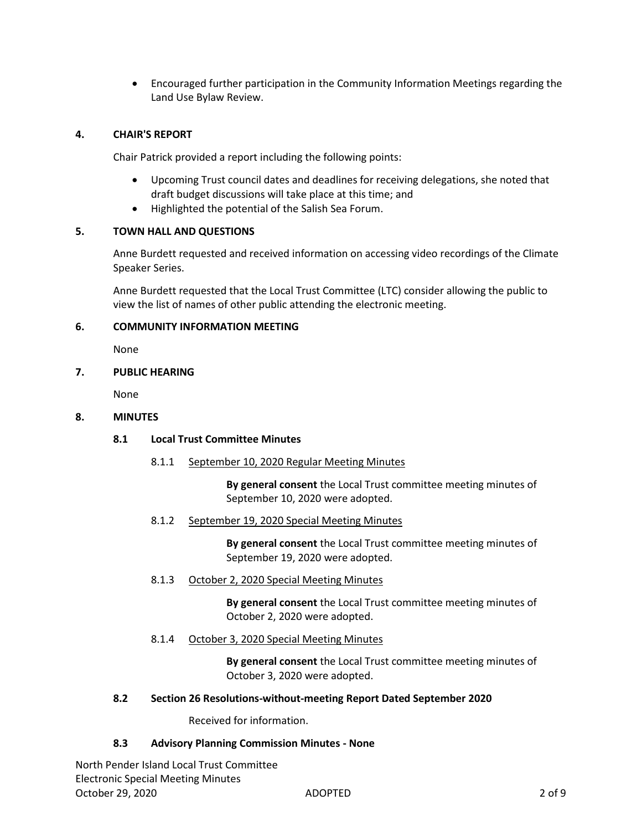Encouraged further participation in the Community Information Meetings regarding the Land Use Bylaw Review.

# **4. CHAIR'S REPORT**

Chair Patrick provided a report including the following points:

- Upcoming Trust council dates and deadlines for receiving delegations, she noted that draft budget discussions will take place at this time; and
- Highlighted the potential of the Salish Sea Forum.

# **5. TOWN HALL AND QUESTIONS**

Anne Burdett requested and received information on accessing video recordings of the Climate Speaker Series.

Anne Burdett requested that the Local Trust Committee (LTC) consider allowing the public to view the list of names of other public attending the electronic meeting.

# **6. COMMUNITY INFORMATION MEETING**

None

# **7. PUBLIC HEARING**

None

# **8. MINUTES**

# **8.1 Local Trust Committee Minutes**

8.1.1 September 10, 2020 Regular Meeting Minutes

**By general consent** the Local Trust committee meeting minutes of September 10, 2020 were adopted.

8.1.2 September 19, 2020 Special Meeting Minutes

**By general consent** the Local Trust committee meeting minutes of September 19, 2020 were adopted.

8.1.3 October 2, 2020 Special Meeting Minutes

**By general consent** the Local Trust committee meeting minutes of October 2, 2020 were adopted.

8.1.4 October 3, 2020 Special Meeting Minutes

**By general consent** the Local Trust committee meeting minutes of October 3, 2020 were adopted.

# **8.2 Section 26 Resolutions-without-meeting Report Dated September 2020**

Received for information.

# **8.3 Advisory Planning Commission Minutes - None**

North Pender Island Local Trust Committee Electronic Special Meeting Minutes October 29, 2020 ADOPTED 2 of 9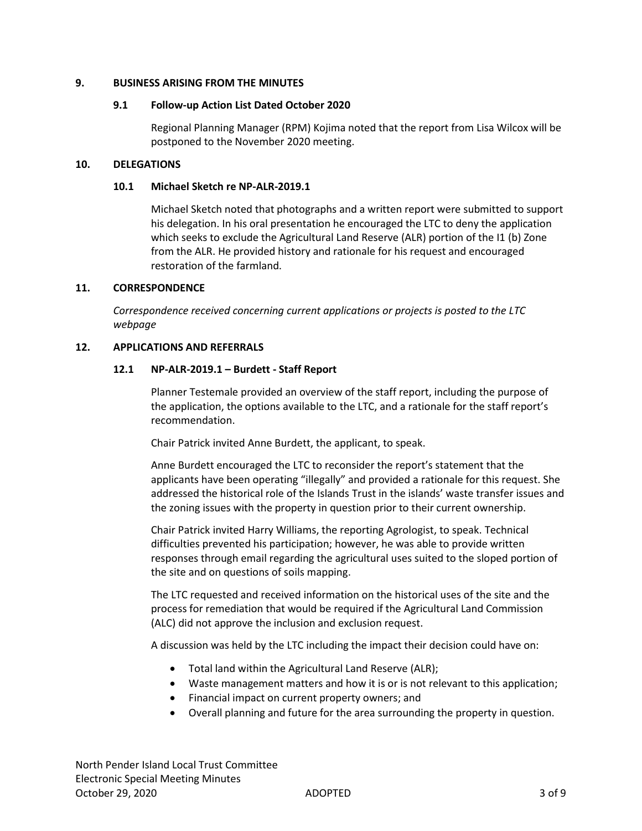# **9. BUSINESS ARISING FROM THE MINUTES**

# **9.1 Follow-up Action List Dated October 2020**

Regional Planning Manager (RPM) Kojima noted that the report from Lisa Wilcox will be postponed to the November 2020 meeting.

# **10. DELEGATIONS**

# **10.1 Michael Sketch re NP-ALR-2019.1**

Michael Sketch noted that photographs and a written report were submitted to support his delegation. In his oral presentation he encouraged the LTC to deny the application which seeks to exclude the Agricultural Land Reserve (ALR) portion of the I1 (b) Zone from the ALR. He provided history and rationale for his request and encouraged restoration of the farmland.

# **11. CORRESPONDENCE**

*Correspondence received concerning current applications or projects is posted to the LTC webpage*

# **12. APPLICATIONS AND REFERRALS**

# **12.1 NP-ALR-2019.1 – Burdett - Staff Report**

Planner Testemale provided an overview of the staff report, including the purpose of the application, the options available to the LTC, and a rationale for the staff report's recommendation.

Chair Patrick invited Anne Burdett, the applicant, to speak.

Anne Burdett encouraged the LTC to reconsider the report's statement that the applicants have been operating "illegally" and provided a rationale for this request. She addressed the historical role of the Islands Trust in the islands' waste transfer issues and the zoning issues with the property in question prior to their current ownership.

Chair Patrick invited Harry Williams, the reporting Agrologist, to speak. Technical difficulties prevented his participation; however, he was able to provide written responses through email regarding the agricultural uses suited to the sloped portion of the site and on questions of soils mapping.

The LTC requested and received information on the historical uses of the site and the process for remediation that would be required if the Agricultural Land Commission (ALC) did not approve the inclusion and exclusion request.

A discussion was held by the LTC including the impact their decision could have on:

- Total land within the Agricultural Land Reserve (ALR);
- Waste management matters and how it is or is not relevant to this application;
- Financial impact on current property owners; and
- Overall planning and future for the area surrounding the property in question.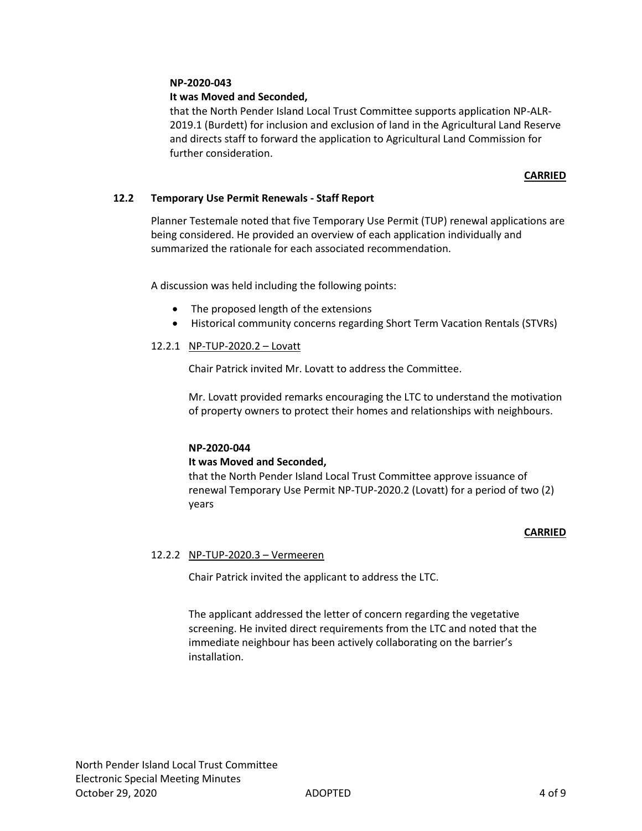# **NP-2020-043**

# **It was Moved and Seconded,**

that the North Pender Island Local Trust Committee supports application NP-ALR-2019.1 (Burdett) for inclusion and exclusion of land in the Agricultural Land Reserve and directs staff to forward the application to Agricultural Land Commission for further consideration.

# **CARRIED**

# **12.2 Temporary Use Permit Renewals - Staff Report**

Planner Testemale noted that five Temporary Use Permit (TUP) renewal applications are being considered. He provided an overview of each application individually and summarized the rationale for each associated recommendation.

A discussion was held including the following points:

- The proposed length of the extensions
- Historical community concerns regarding Short Term Vacation Rentals (STVRs)

# 12.2.1 NP-TUP-2020.2 – Lovatt

Chair Patrick invited Mr. Lovatt to address the Committee.

Mr. Lovatt provided remarks encouraging the LTC to understand the motivation of property owners to protect their homes and relationships with neighbours.

# **NP-2020-044**

#### **It was Moved and Seconded,**

that the North Pender Island Local Trust Committee approve issuance of renewal Temporary Use Permit NP-TUP-2020.2 (Lovatt) for a period of two (2) years

#### **CARRIED**

# 12.2.2 NP-TUP-2020.3 – Vermeeren

Chair Patrick invited the applicant to address the LTC.

The applicant addressed the letter of concern regarding the vegetative screening. He invited direct requirements from the LTC and noted that the immediate neighbour has been actively collaborating on the barrier's installation.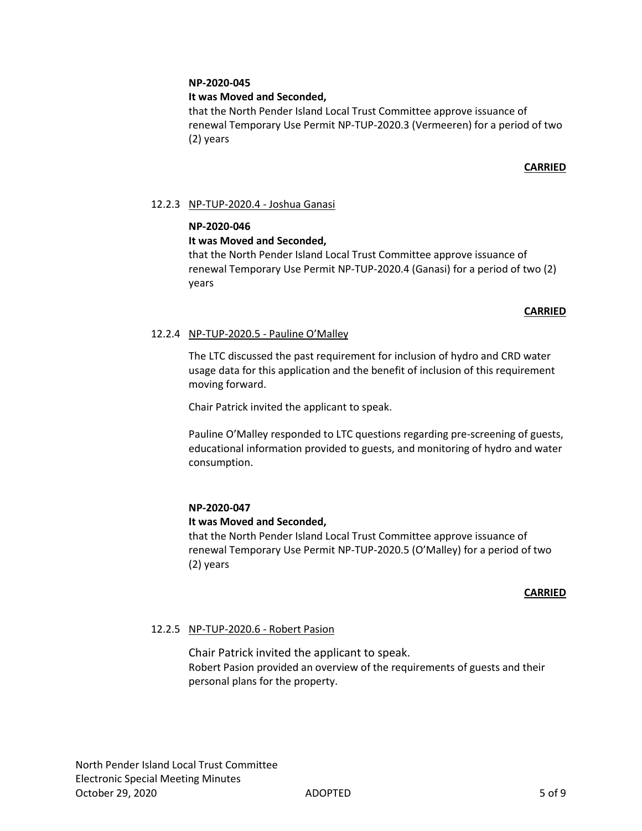# **NP-2020-045**

# **It was Moved and Seconded,**

that the North Pender Island Local Trust Committee approve issuance of renewal Temporary Use Permit NP-TUP-2020.3 (Vermeeren) for a period of two (2) years

# **CARRIED**

# 12.2.3 NP-TUP-2020.4 - Joshua Ganasi

# **NP-2020-046**

# **It was Moved and Seconded,**

that the North Pender Island Local Trust Committee approve issuance of renewal Temporary Use Permit NP-TUP-2020.4 (Ganasi) for a period of two (2) years

# **CARRIED**

# 12.2.4 NP-TUP-2020.5 - Pauline O'Malley

The LTC discussed the past requirement for inclusion of hydro and CRD water usage data for this application and the benefit of inclusion of this requirement moving forward.

Chair Patrick invited the applicant to speak.

Pauline O'Malley responded to LTC questions regarding pre-screening of guests, educational information provided to guests, and monitoring of hydro and water consumption.

#### **NP-2020-047**

# **It was Moved and Seconded,**

that the North Pender Island Local Trust Committee approve issuance of renewal Temporary Use Permit NP-TUP-2020.5 (O'Malley) for a period of two (2) years

#### **CARRIED**

# 12.2.5 NP-TUP-2020.6 - Robert Pasion

Chair Patrick invited the applicant to speak. Robert Pasion provided an overview of the requirements of guests and their personal plans for the property.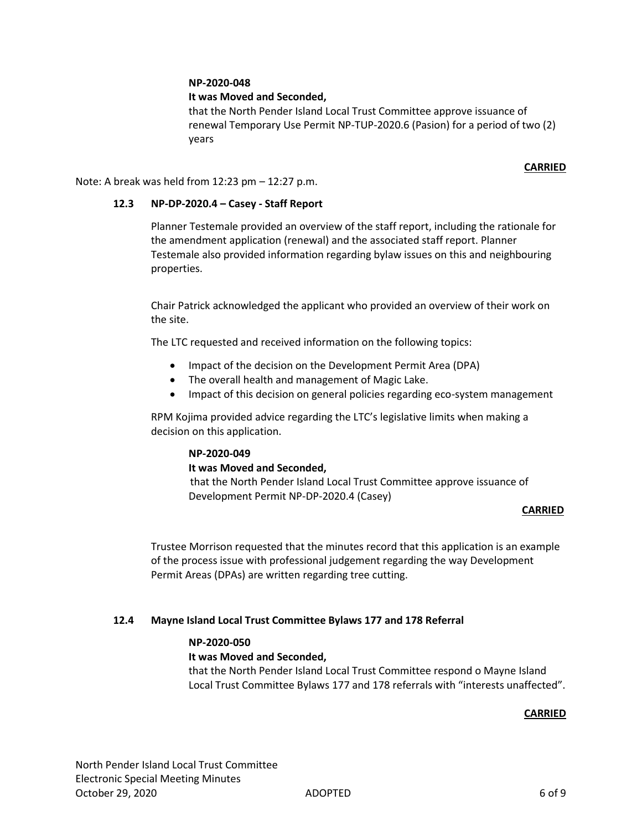# **NP-2020-048**

# **It was Moved and Seconded,**

that the North Pender Island Local Trust Committee approve issuance of renewal Temporary Use Permit NP-TUP-2020.6 (Pasion) for a period of two (2) years

# **CARRIED**

Note: A break was held from 12:23 pm – 12:27 p.m.

# **12.3 NP-DP-2020.4 – Casey - Staff Report**

Planner Testemale provided an overview of the staff report, including the rationale for the amendment application (renewal) and the associated staff report. Planner Testemale also provided information regarding bylaw issues on this and neighbouring properties.

Chair Patrick acknowledged the applicant who provided an overview of their work on the site.

The LTC requested and received information on the following topics:

- Impact of the decision on the Development Permit Area (DPA)
- The overall health and management of Magic Lake.
- Impact of this decision on general policies regarding eco-system management

RPM Kojima provided advice regarding the LTC's legislative limits when making a decision on this application.

# **NP-2020-049**

#### **It was Moved and Seconded,**

 that the North Pender Island Local Trust Committee approve issuance of Development Permit NP-DP-2020.4 (Casey)

#### **CARRIED**

Trustee Morrison requested that the minutes record that this application is an example of the process issue with professional judgement regarding the way Development Permit Areas (DPAs) are written regarding tree cutting.

# **12.4 Mayne Island Local Trust Committee Bylaws 177 and 178 Referral**

# **NP-2020-050**

#### **It was Moved and Seconded,**

that the North Pender Island Local Trust Committee respond o Mayne Island Local Trust Committee Bylaws 177 and 178 referrals with "interests unaffected".

# **CARRIED**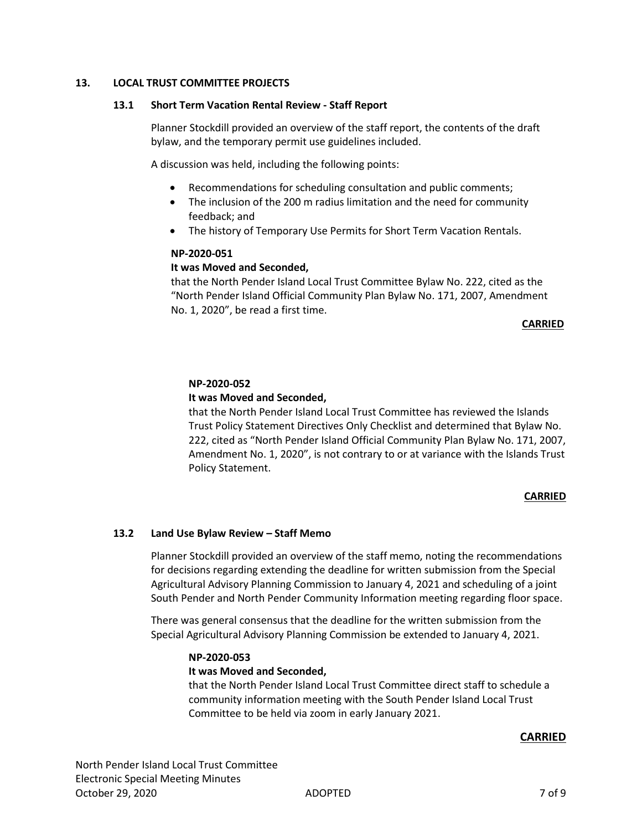# **13. LOCAL TRUST COMMITTEE PROJECTS**

#### **13.1 Short Term Vacation Rental Review - Staff Report**

Planner Stockdill provided an overview of the staff report, the contents of the draft bylaw, and the temporary permit use guidelines included.

A discussion was held, including the following points:

- Recommendations for scheduling consultation and public comments;
- The inclusion of the 200 m radius limitation and the need for community feedback; and
- The history of Temporary Use Permits for Short Term Vacation Rentals.

#### **NP-2020-051**

# **It was Moved and Seconded,**

that the North Pender Island Local Trust Committee Bylaw No. 222, cited as the "North Pender Island Official Community Plan Bylaw No. 171, 2007, Amendment No. 1, 2020", be read a first time.

#### **CARRIED**

# **NP-2020-052**

# **It was Moved and Seconded,**

that the North Pender Island Local Trust Committee has reviewed the Islands Trust Policy Statement Directives Only Checklist and determined that Bylaw No. 222, cited as "North Pender Island Official Community Plan Bylaw No. 171, 2007, Amendment No. 1, 2020", is not contrary to or at variance with the Islands Trust Policy Statement.

#### **CARRIED**

#### **13.2 Land Use Bylaw Review – Staff Memo**

Planner Stockdill provided an overview of the staff memo, noting the recommendations for decisions regarding extending the deadline for written submission from the Special Agricultural Advisory Planning Commission to January 4, 2021 and scheduling of a joint South Pender and North Pender Community Information meeting regarding floor space.

There was general consensus that the deadline for the written submission from the Special Agricultural Advisory Planning Commission be extended to January 4, 2021.

#### **NP-2020-053**

#### **It was Moved and Seconded,**

that the North Pender Island Local Trust Committee direct staff to schedule a community information meeting with the South Pender Island Local Trust Committee to be held via zoom in early January 2021.

#### **CARRIED**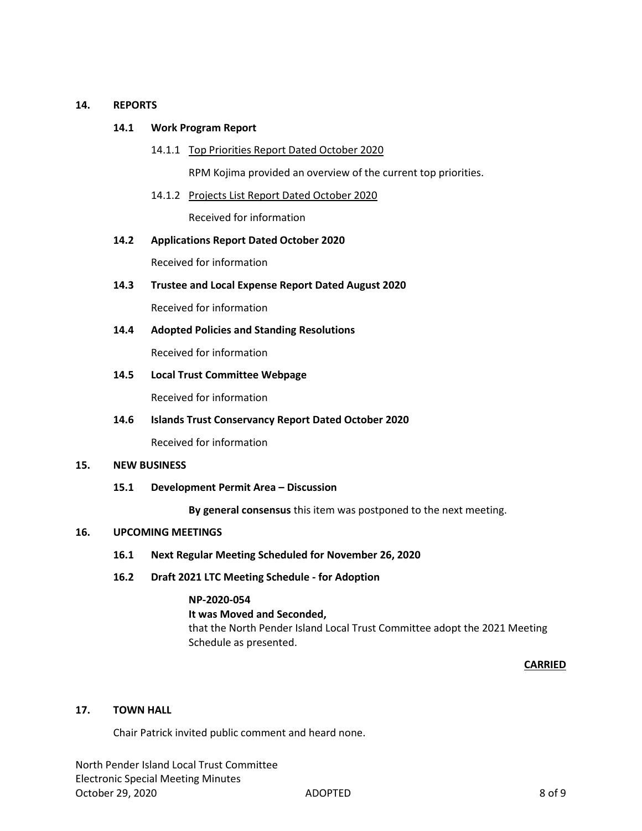# **14. REPORTS**

# **14.1 Work Program Report**

14.1.1 Top Priorities Report Dated October 2020

RPM Kojima provided an overview of the current top priorities.

- 14.1.2 Projects List Report Dated October 2020 Received for information
- **14.2 Applications Report Dated October 2020**

Received for information

**14.3 Trustee and Local Expense Report Dated August 2020** 

Received for information

**14.4 Adopted Policies and Standing Resolutions** 

Received for information

**14.5 Local Trust Committee Webpage**

Received for information

**14.6 Islands Trust Conservancy Report Dated October 2020**

Received for information

#### **15. NEW BUSINESS**

**15.1 Development Permit Area – Discussion**

**By general consensus** this item was postponed to the next meeting.

#### **16. UPCOMING MEETINGS**

- **16.1 Next Regular Meeting Scheduled for November 26, 2020**
- **16.2 Draft 2021 LTC Meeting Schedule - for Adoption**

# **NP-2020-054**

**It was Moved and Seconded,**

that the North Pender Island Local Trust Committee adopt the 2021 Meeting Schedule as presented.

# **CARRIED**

# **17. TOWN HALL**

Chair Patrick invited public comment and heard none.

North Pender Island Local Trust Committee Electronic Special Meeting Minutes October 29, 2020 ADOPTED 8 of 9